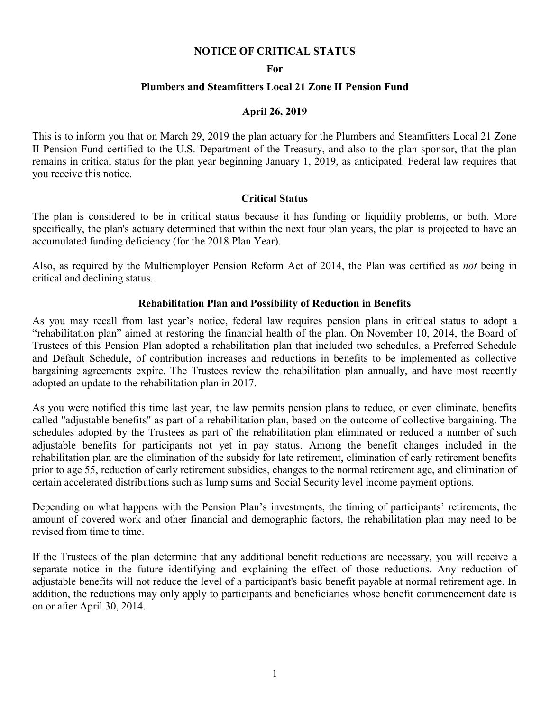# NOTICE OF CRITICAL STATUS

#### For

# Plumbers and Steamfitters Local 21 Zone II Pension Fund

### April 26, 2019

This is to inform you that on March 29, 2019 the plan actuary for the Plumbers and Steamfitters Local 21 Zone II Pension Fund certified to the U.S. Department of the Treasury, and also to the plan sponsor, that the plan remains in critical status for the plan year beginning January 1, 2019, as anticipated. Federal law requires that you receive this notice.

### Critical Status

The plan is considered to be in critical status because it has funding or liquidity problems, or both. More specifically, the plan's actuary determined that within the next four plan years, the plan is projected to have an accumulated funding deficiency (for the 2018 Plan Year).

Also, as required by the Multiemployer Pension Reform Act of 2014, the Plan was certified as not being in critical and declining status.

#### Rehabilitation Plan and Possibility of Reduction in Benefits

As you may recall from last year's notice, federal law requires pension plans in critical status to adopt a "rehabilitation plan" aimed at restoring the financial health of the plan. On November 10, 2014, the Board of Trustees of this Pension Plan adopted a rehabilitation plan that included two schedules, a Preferred Schedule and Default Schedule, of contribution increases and reductions in benefits to be implemented as collective bargaining agreements expire. The Trustees review the rehabilitation plan annually, and have most recently adopted an update to the rehabilitation plan in 2017.

As you were notified this time last year, the law permits pension plans to reduce, or even eliminate, benefits called "adjustable benefits" as part of a rehabilitation plan, based on the outcome of collective bargaining. The schedules adopted by the Trustees as part of the rehabilitation plan eliminated or reduced a number of such adjustable benefits for participants not yet in pay status. Among the benefit changes included in the rehabilitation plan are the elimination of the subsidy for late retirement, elimination of early retirement benefits prior to age 55, reduction of early retirement subsidies, changes to the normal retirement age, and elimination of certain accelerated distributions such as lump sums and Social Security level income payment options.

Depending on what happens with the Pension Plan's investments, the timing of participants' retirements, the amount of covered work and other financial and demographic factors, the rehabilitation plan may need to be revised from time to time.

If the Trustees of the plan determine that any additional benefit reductions are necessary, you will receive a separate notice in the future identifying and explaining the effect of those reductions. Any reduction of adjustable benefits will not reduce the level of a participant's basic benefit payable at normal retirement age. In addition, the reductions may only apply to participants and beneficiaries whose benefit commencement date is on or after April 30, 2014.